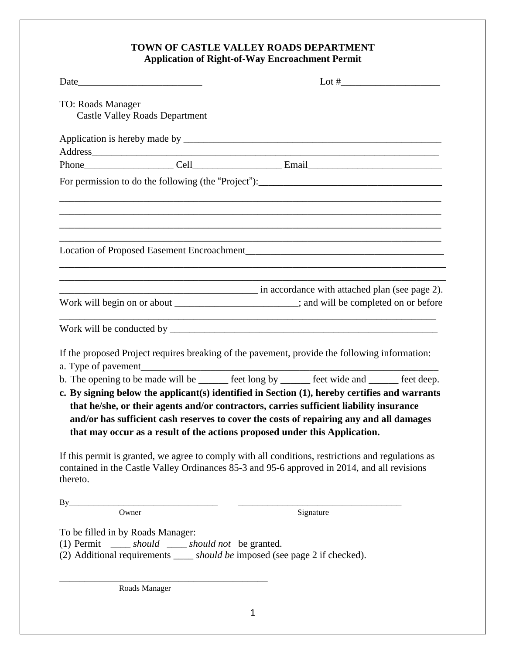## **TOWN OF CASTLE VALLEY ROADS DEPARTMENT Application of Right-of-Way Encroachment Permit**

| TO: Roads Manager | <b>Castle Valley Roads Department</b>                                                       |                                                                                                                                                                                                                                                                                                                                                                   |
|-------------------|---------------------------------------------------------------------------------------------|-------------------------------------------------------------------------------------------------------------------------------------------------------------------------------------------------------------------------------------------------------------------------------------------------------------------------------------------------------------------|
|                   |                                                                                             |                                                                                                                                                                                                                                                                                                                                                                   |
|                   |                                                                                             | Address and the contract of the contract of the contract of the contract of the contract of the contract of the contract of the contract of the contract of the contract of the contract of the contract of the contract of th                                                                                                                                    |
|                   |                                                                                             |                                                                                                                                                                                                                                                                                                                                                                   |
|                   |                                                                                             | For permission to do the following (the "Project"):______________________________                                                                                                                                                                                                                                                                                 |
|                   |                                                                                             |                                                                                                                                                                                                                                                                                                                                                                   |
|                   |                                                                                             | in accordance with attached plan (see page 2).<br>Work will begin on or about _______________________; and will be completed on or before                                                                                                                                                                                                                         |
|                   |                                                                                             |                                                                                                                                                                                                                                                                                                                                                                   |
|                   |                                                                                             | If the proposed Project requires breaking of the pavement, provide the following information:                                                                                                                                                                                                                                                                     |
|                   |                                                                                             |                                                                                                                                                                                                                                                                                                                                                                   |
|                   |                                                                                             | b. The opening to be made will be ______ feet long by _____ feet wide and _____ feet deep.                                                                                                                                                                                                                                                                        |
|                   |                                                                                             | c. By signing below the applicant(s) identified in Section (1), hereby certifies and warrants<br>that he/she, or their agents and/or contractors, carries sufficient liability insurance<br>and/or has sufficient cash reserves to cover the costs of repairing any and all damages<br>that may occur as a result of the actions proposed under this Application. |
| thereto.          |                                                                                             | If this permit is granted, we agree to comply with all conditions, restrictions and regulations as<br>contained in the Castle Valley Ordinances 85-3 and 95-6 approved in 2014, and all revisions                                                                                                                                                                 |
| By                |                                                                                             |                                                                                                                                                                                                                                                                                                                                                                   |
|                   | Owner                                                                                       | Signature                                                                                                                                                                                                                                                                                                                                                         |
|                   | To be filled in by Roads Manager:<br>(1) Permit ______ should ______ should not be granted. | (2) Additional requirements ______ should be imposed (see page 2 if checked).                                                                                                                                                                                                                                                                                     |
|                   | Roads Manager                                                                               |                                                                                                                                                                                                                                                                                                                                                                   |